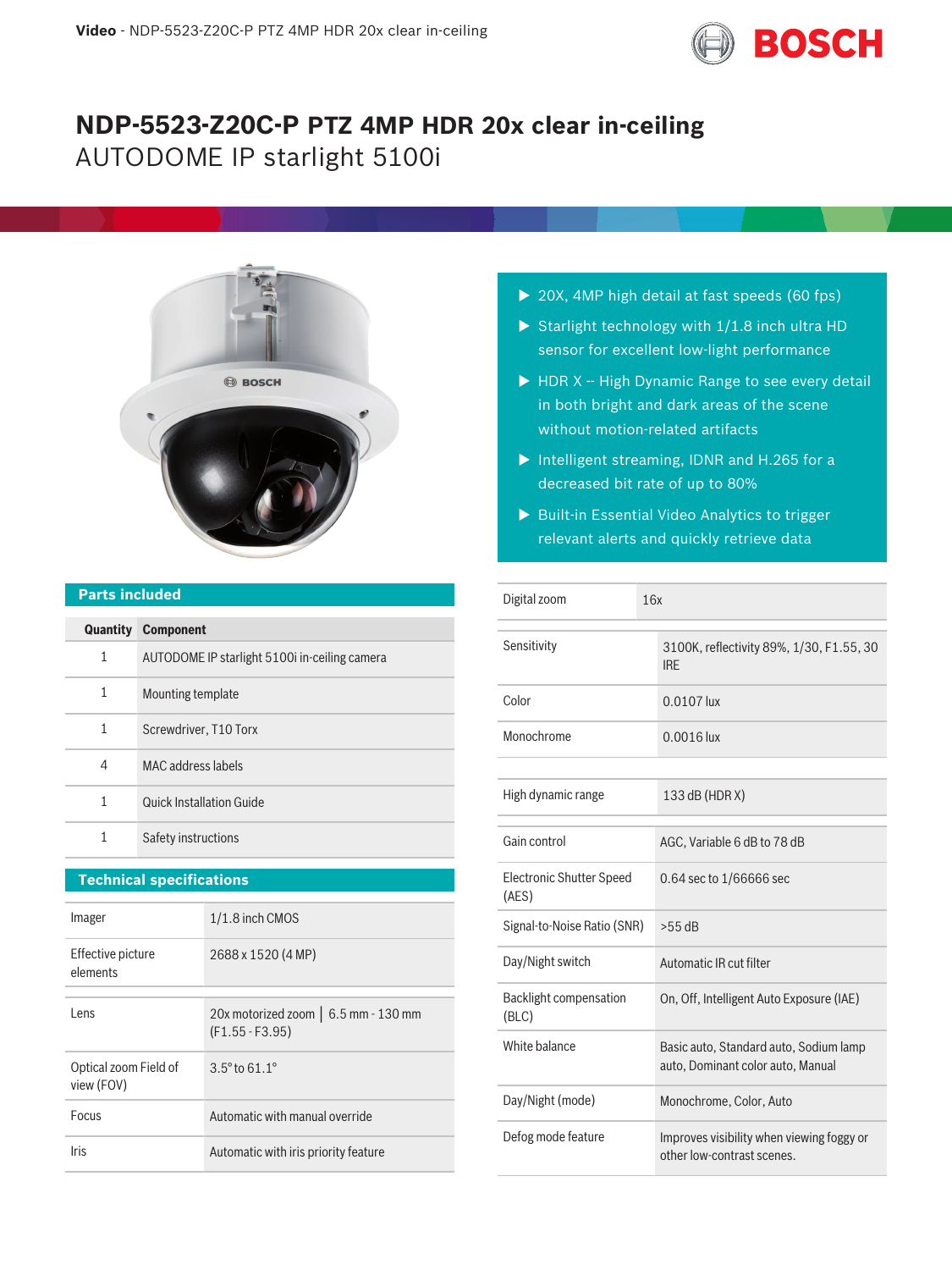

# **NDP-5523-Z20C-P PTZ 4MP HDR 20x clear in-ceiling** AUTODOME IP starlight 5100i



#### **Parts included**

|   | <b>Quantity Component</b>                     |
|---|-----------------------------------------------|
| 1 | AUTODOME IP starlight 5100i in-ceiling camera |
| 1 | Mounting template                             |
| 1 | Screwdriver, T10 Torx                         |
| 4 | MAC address labels                            |
| 1 | Quick Installation Guide                      |
| 1 | Safety instructions                           |

### **Technical specifications**

| Imager                              | 1/1.8 inch CMOS                                           |
|-------------------------------------|-----------------------------------------------------------|
| Effective picture<br>elements       | 2688 x 1520 (4 MP)                                        |
| l ens                               | 20x motorized zoom   6.5 mm - 130 mm<br>$(F1.55 - F3.95)$ |
| Optical zoom Field of<br>view (FOV) | $3.5^{\circ}$ to $61.1^{\circ}$                           |
| Focus                               | Automatic with manual override                            |
| Iris                                | Automatic with iris priority feature                      |

- $\triangleright$  20X, 4MP high detail at fast speeds (60 fps)
- Starlight technology with  $1/1.8$  inch ultra HD sensor for excellent low-light performance
- $\blacktriangleright$  HDR X -- High Dynamic Range to see every detail in both bright and dark areas of the scene without motion-related artifacts
- $\triangleright$  Intelligent streaming, IDNR and H.265 for a decreased bit rate of up to 80%
- $\triangleright$  Built-in Essential Video Analytics to trigger relevant alerts and quickly retrieve data

| Digital zoom                             | 16x                                                                         |
|------------------------------------------|-----------------------------------------------------------------------------|
| Sensitivity                              | 3100K, reflectivity 89%, 1/30, F1.55, 30<br><b>IRE</b>                      |
| Color                                    | 0.0107 lux                                                                  |
| Monochrome                               | 0.0016 lux                                                                  |
|                                          |                                                                             |
| High dynamic range                       | 133 dB (HDR X)                                                              |
| Gain control                             | AGC, Variable 6 dB to 78 dB                                                 |
|                                          |                                                                             |
| <b>Electronic Shutter Speed</b><br>(AES) | 0.64 sec to 1/66666 sec                                                     |
| Signal-to-Noise Ratio (SNR)              | $>55$ dB                                                                    |
| Day/Night switch                         | Automatic IR cut filter                                                     |
| Backlight compensation<br>(BLC)          | On, Off, Intelligent Auto Exposure (IAE)                                    |
| White balance                            | Basic auto, Standard auto, Sodium lamp<br>auto, Dominant color auto, Manual |
| Day/Night (mode)                         | Monochrome, Color, Auto                                                     |
| Defog mode feature                       | Improves visibility when viewing foggy or<br>other low-contrast scenes.     |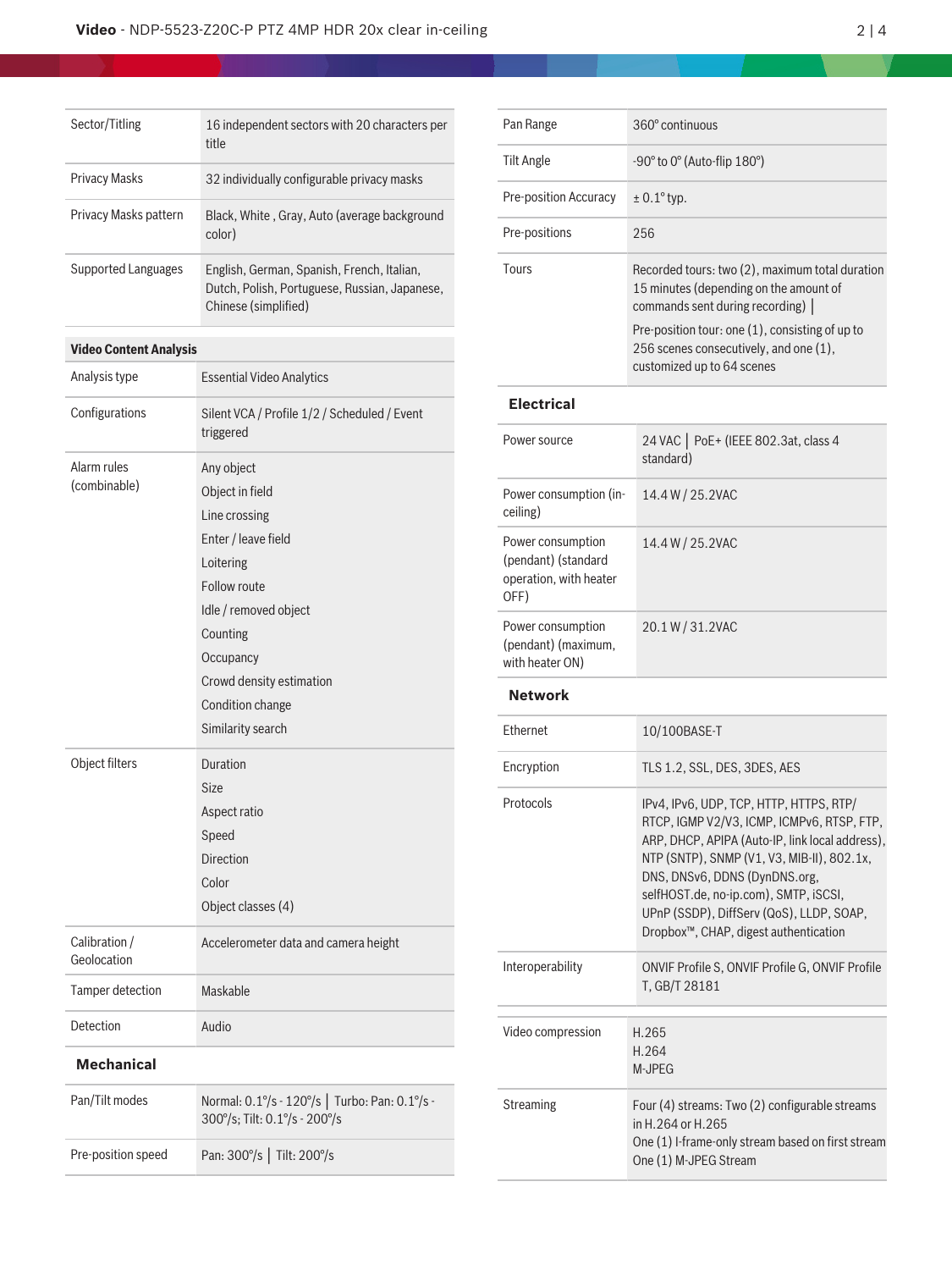| Sector/Titling        | 16 independent sectors with 20 characters per<br>title                                                              |
|-----------------------|---------------------------------------------------------------------------------------------------------------------|
| <b>Privacy Masks</b>  | 32 individually configurable privacy masks                                                                          |
| Privacy Masks pattern | Black, White, Gray, Auto (average background<br>color)                                                              |
| Supported Languages   | English, German, Spanish, French, Italian,<br>Dutch, Polish, Portuguese, Russian, Japanese,<br>Chinese (simplified) |

## **Video Content Analysis**

| Analysis type                | <b>Essential Video Analytics</b>                                          |
|------------------------------|---------------------------------------------------------------------------|
| Configurations               | Silent VCA / Profile 1/2 / Scheduled / Event<br>triggered                 |
| Alarm rules                  | Any object                                                                |
| (combinable)                 | Object in field                                                           |
|                              | Line crossing                                                             |
|                              | Enter / leave field                                                       |
|                              | Loitering                                                                 |
|                              | <b>Follow route</b>                                                       |
|                              | Idle / removed object                                                     |
|                              | Counting                                                                  |
|                              | Occupancy                                                                 |
|                              | Crowd density estimation                                                  |
|                              | Condition change                                                          |
|                              | Similarity search                                                         |
| Object filters               | Duration                                                                  |
|                              | Size                                                                      |
|                              | Aspect ratio                                                              |
|                              | Speed                                                                     |
|                              | <b>Direction</b>                                                          |
|                              | Color                                                                     |
|                              | Object classes (4)                                                        |
| Calibration /<br>Geolocation | Accelerometer data and camera height                                      |
| Tamper detection             | Maskable                                                                  |
| Detection                    | Audio                                                                     |
| <b>Mechanical</b>            |                                                                           |
| Pan/Tilt modes               | Normal: 0.1% - 120%   Turbo: Pan: 0.1% -<br>300°/s; Tilt: 0.1°/s - 200°/s |
| Pre-position speed           | Pan: 300°/s   Tilt: 200°/s                                                |
|                              |                                                                           |

| Pan Range                                                                  | 360° continuous                                                                                                                                                                                                                                                                                                                                                    |
|----------------------------------------------------------------------------|--------------------------------------------------------------------------------------------------------------------------------------------------------------------------------------------------------------------------------------------------------------------------------------------------------------------------------------------------------------------|
| <b>Tilt Angle</b>                                                          | -90° to 0° (Auto-flip 180°)                                                                                                                                                                                                                                                                                                                                        |
| Pre-position Accuracy                                                      | $± 0.1°$ typ.                                                                                                                                                                                                                                                                                                                                                      |
| Pre-positions                                                              | 256                                                                                                                                                                                                                                                                                                                                                                |
| Tours                                                                      | Recorded tours: two (2), maximum total duration<br>15 minutes (depending on the amount of<br>commands sent during recording)  <br>Pre-position tour: one (1), consisting of up to<br>256 scenes consecutively, and one (1),<br>customized up to 64 scenes                                                                                                          |
| <b>Electrical</b>                                                          |                                                                                                                                                                                                                                                                                                                                                                    |
| Power source                                                               | 24 VAC   PoE+ (IEEE 802.3at, class 4<br>standard)                                                                                                                                                                                                                                                                                                                  |
| Power consumption (in-<br>ceiling)                                         | 14.4 W / 25.2VAC                                                                                                                                                                                                                                                                                                                                                   |
| Power consumption<br>(pendant) (standard<br>operation, with heater<br>OFF) | 14.4 W / 25.2VAC                                                                                                                                                                                                                                                                                                                                                   |
| Power consumption<br>(pendant) (maximum,<br>with heater ON)                | 20.1 W / 31.2VAC                                                                                                                                                                                                                                                                                                                                                   |
| <b>Network</b>                                                             |                                                                                                                                                                                                                                                                                                                                                                    |
| <b>Fthernet</b>                                                            | 10/100BASE-T                                                                                                                                                                                                                                                                                                                                                       |
| Encryption                                                                 | TLS 1.2, SSL, DES, 3DES, AES                                                                                                                                                                                                                                                                                                                                       |
| Protocols                                                                  | IPv4, IPv6, UDP, TCP, HTTP, HTTPS, RTP/<br>RICP, IGMP V2/V3, ICMP, ICMPv6, RISP, FIP,<br>ARP, DHCP, APIPA (Auto-IP, link local address),<br>NTP (SNTP), SNMP (V1, V3, MIB-II), 802.1x,<br>DNS, DNSv6, DDNS (DynDNS.org,<br>selfHOST.de, no-ip.com), SMTP, iSCSI,<br>UPnP (SSDP), DiffServ (QoS), LLDP, SOAP,<br>Dropbox <sup>™</sup> , CHAP, digest authentication |
| Interoperability                                                           | ONVIF Profile S, ONVIF Profile G, ONVIF Profile<br>T, GB/T 28181                                                                                                                                                                                                                                                                                                   |
| Video compression                                                          | H.265<br>H.264<br>M-JPEG                                                                                                                                                                                                                                                                                                                                           |
| Streaming                                                                  | Four (4) streams: Two (2) configurable streams<br>in H.264 or H.265<br>One (1) I-frame-only stream based on first stream<br>One (1) M-JPEG Stream                                                                                                                                                                                                                  |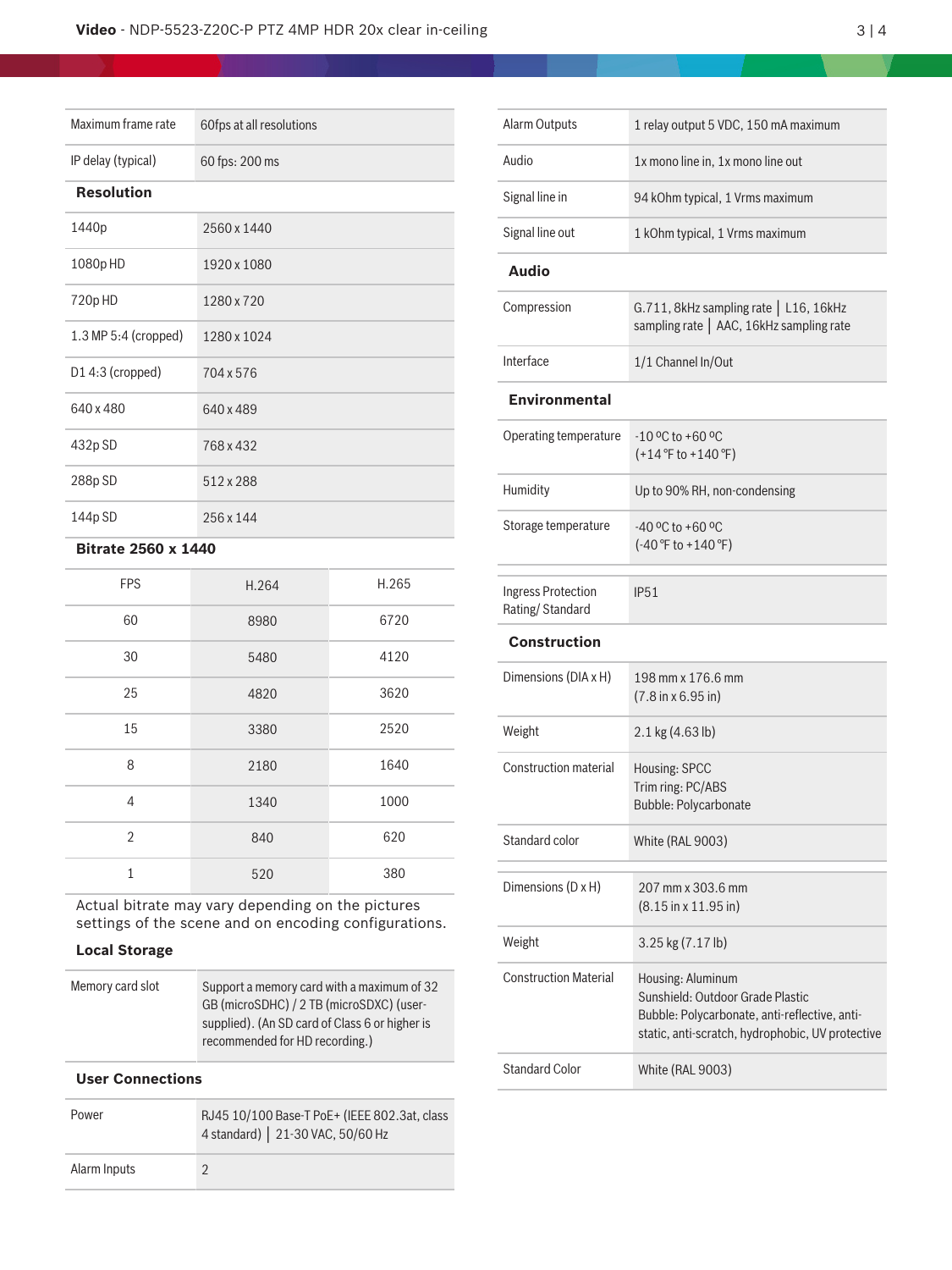#### **Video** - NDP-5523-Z20C-P PTZ 4MP HDR 20x clear in-ceiling 3 2 3 3 4

| Maximum frame rate   | 60fps at all resolutions |
|----------------------|--------------------------|
| IP delay (typical)   | 60 fps: 200 ms           |
| <b>Resolution</b>    |                          |
| 1440p                | 2560 x 1440              |
| 1080p HD             | 1920 x 1080              |
| 720p HD              | 1280 x 720               |
| 1.3 MP 5:4 (cropped) | 1280 x 1024              |
| D14:3 (cropped)      | 704 x 576                |
| 640 x 480            | 640 x 489                |
| 432p SD              | 768 x 432                |
| 288p SD              | 512 x 288                |
| 144p SD              | 256 x 144                |

#### **Bitrate 2560 x 1440**

| <b>FPS</b>     | H.264 | H.265 |
|----------------|-------|-------|
| 60             | 8980  | 6720  |
| 30             | 5480  | 4120  |
| 25             | 4820  | 3620  |
| 15             | 3380  | 2520  |
| 8              | 2180  | 1640  |
| 4              | 1340  | 1000  |
| $\overline{2}$ | 840   | 620   |
| $\mathbf{1}$   | 520   | 380   |

Actual bitrate may vary depending on the pictures settings of the scene and on encoding configurations.

#### **Local Storage**

| Memory card slot | Support a memory card with a maximum of 32     |
|------------------|------------------------------------------------|
|                  | GB (microSDHC) / 2 TB (microSDXC) (user-       |
|                  | supplied). (An SD card of Class 6 or higher is |
|                  | recommended for HD recording.)                 |

#### **User Connections**

| Power        | RJ45 10/100 Base-T PoE+ (IEEE 802.3at, class<br>4 standard)   21-30 VAC, 50/60 Hz |
|--------------|-----------------------------------------------------------------------------------|
| Alarm Inputs |                                                                                   |

| <b>Alarm Outputs</b>                  | 1 relay output 5 VDC, 150 mA maximum                                                                                                                       |
|---------------------------------------|------------------------------------------------------------------------------------------------------------------------------------------------------------|
| Audio                                 | 1x mono line in, 1x mono line out                                                                                                                          |
| Signal line in                        | 94 kOhm typical, 1 Vrms maximum                                                                                                                            |
| Signal line out                       | 1 kOhm typical, 1 Vrms maximum                                                                                                                             |
| <b>Audio</b>                          |                                                                                                                                                            |
| Compression                           | G.711, 8kHz sampling rate   L16, 16kHz<br>sampling rate   AAC, 16kHz sampling rate                                                                         |
| Interface                             | 1/1 Channel In/Out                                                                                                                                         |
| <b>Environmental</b>                  |                                                                                                                                                            |
| Operating temperature                 | $-10$ °C to +60 °C<br>$(+14 °F to +140 °F)$                                                                                                                |
| Humidity                              | Up to 90% RH, non-condensing                                                                                                                               |
| Storage temperature                   | $-40$ °C to +60 °C<br>$(-40 °F)$ to $+140 °F)$                                                                                                             |
| Ingress Protection<br>Rating/Standard | <b>IP51</b>                                                                                                                                                |
| <b>Construction</b>                   |                                                                                                                                                            |
| Dimensions (DIA x H)                  | 198 mm x 176.6 mm<br>$(7.8 \text{ in } x 6.95 \text{ in})$                                                                                                 |
| Weight                                | 2.1 kg (4.63 lb)                                                                                                                                           |
| <b>Construction material</b>          | Housing: SPCC<br>Trim ring: PC/ABS<br><b>Bubble: Polycarbonate</b>                                                                                         |
| Standard color                        | White (RAL 9003)                                                                                                                                           |
| Dimensions (D x H)                    | 207 mm x 303.6 mm<br>$(8.15 \text{ in } x 11.95 \text{ in})$                                                                                               |
| Weight                                | 3.25 kg (7.17 lb)                                                                                                                                          |
| <b>Construction Material</b>          | Housing: Aluminum<br>Sunshield: Outdoor Grade Plastic<br>Bubble: Polycarbonate, anti-reflective, anti-<br>static, anti-scratch, hydrophobic, UV protective |
| <b>Standard Color</b>                 | <b>White (RAL 9003)</b>                                                                                                                                    |
|                                       |                                                                                                                                                            |